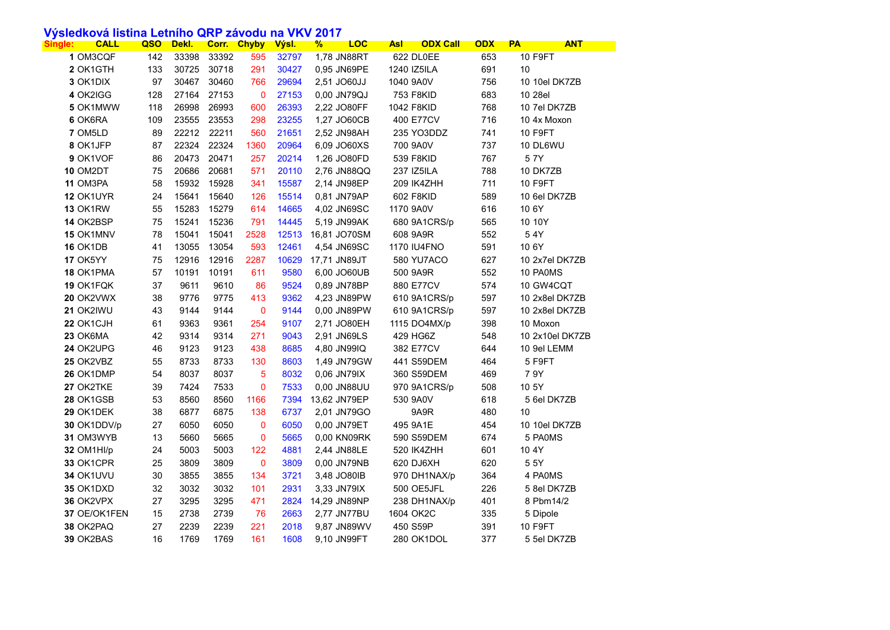## **Výsledková listina Letního QRP závodu na VKV 2017**

| <b>CALL</b><br>Single: | QSO | Dekl. |       | <b>Corr. Chyby</b>       | <mark>Výsl.</mark> | <b>LOC</b><br>$\frac{9}{6}$ | <b>ODX Call</b><br><u>Asl</u> | <b>ODX</b> | <b>PA</b><br><b>ANT</b> |
|------------------------|-----|-------|-------|--------------------------|--------------------|-----------------------------|-------------------------------|------------|-------------------------|
| 1 OM3CQF               | 142 | 33398 | 33392 | 595                      | 32797              | 1,78 JN88RT                 | 622 DL0EE                     | 653        | <b>10 F9FT</b>          |
| 2 OK1GTH               | 133 | 30725 | 30718 | 291                      | 30427              | 0,95 JN69PE                 | 1240 IZ5ILA                   | 691        | 10                      |
| 3 OK1DIX               | 97  | 30467 | 30460 | 766                      | 29694              | 2,51 JO60JJ                 | 1040 9A0V                     | 756        | 10 10el DK7ZB           |
| 4 OK2IGG               | 128 | 27164 | 27153 | $\mathbf 0$              | 27153              | 0,00 JN79QJ                 | 753 F8KID                     | 683        | 10 28el                 |
| 5 OK1MWW               | 118 | 26998 | 26993 | 600                      | 26393              | 2,22 JO80FF                 | 1042 F8KID                    | 768        | 10 7el DK7ZB            |
| 6 OK6RA                | 109 | 23555 | 23553 | 298                      | 23255              | 1,27 JO60CB                 | 400 E77CV                     | 716        | 10 4x Moxon             |
| 7 OM5LD                | 89  | 22212 | 22211 | 560                      | 21651              | 2,52 JN98AH                 | 235 YO3DDZ                    | 741        | 10 F9FT                 |
| 8 OK1JFP               | 87  | 22324 | 22324 | 1360                     | 20964              | 6,09 JO60XS                 | 700 9A0V                      | 737        | 10 DL6WU                |
| 9 OK1VOF               | 86  | 20473 | 20471 | 257                      | 20214              | 1,26 JO80FD                 | 539 F8KID                     | 767        | 5 7 Y                   |
| <b>10 OM2DT</b>        | 75  | 20686 | 20681 | 571                      | 20110              | 2,76 JN88QQ                 | 237 IZ5ILA                    | 788        | 10 DK7ZB                |
| 11 OM3PA               | 58  | 15932 | 15928 | 341                      | 15587              | 2,14 JN98EP                 | 209 IK4ZHH                    | 711        | 10 F9FT                 |
| 12 OK1UYR              | 24  | 15641 | 15640 | 126                      | 15514              | 0,81 JN79AP                 | 602 F8KID                     | 589        | 10 6el DK7ZB            |
| 13 OK1RW               | 55  | 15283 | 15279 | 614                      | 14665              | 4,02 JN69SC                 | 1170 9A0V                     | 616        | 10 6Y                   |
| 14 OK2BSP              | 75  | 15241 | 15236 | 791                      | 14445              | 5,19 JN99AK                 | 680 9A1CRS/p                  | 565        | 10 10Y                  |
| 15 OK1MNV              | 78  | 15041 | 15041 | 2528                     | 12513              | 16,81 JO70SM                | 608 9A9R                      | 552        | 54Y                     |
| <b>16 OK1DB</b>        | 41  | 13055 | 13054 | 593                      | 12461              | 4,54 JN69SC                 | <b>1170 IU4FNO</b>            | 591        | 10 6Y                   |
| 17 OK5YY               | 75  | 12916 | 12916 | 2287                     | 10629              | 17,71 JN89JT                | <b>580 YU7ACO</b>             | 627        | 10 2x7el DK7ZB          |
| 18 OK1PMA              | 57  | 10191 | 10191 | 611                      | 9580               | 6,00 JO60UB                 | 500 9A9R                      | 552        | 10 PA0MS                |
| 19 OK1FQK              | 37  | 9611  | 9610  | 86                       | 9524               | 0,89 JN78BP                 | 880 E77CV                     | 574        | 10 GW4CQT               |
| 20 OK2VWX              | 38  | 9776  | 9775  | 413                      | 9362               | 4,23 JN89PW                 | 610 9A1CRS/p                  | 597        | 10 2x8el DK7ZB          |
| 21 OK2IWU              | 43  | 9144  | 9144  | $\overline{0}$           | 9144               | 0,00 JN89PW                 | 610 9A1CRS/p                  | 597        | 10 2x8el DK7ZB          |
| 22 OK1CJH              | 61  | 9363  | 9361  | 254                      | 9107               | 2,71 JO80EH                 | 1115 DO4MX/p                  | 398        | 10 Moxon                |
| 23 OK6MA               | 42  | 9314  | 9314  | 271                      | 9043               | 2,91 JN69LS                 | 429 HG6Z                      | 548        | 10 2x10el DK7ZB         |
| 24 OK2UPG              | 46  | 9123  | 9123  | 438                      | 8685               | 4,80 JN99IQ                 | 382 E77CV                     | 644        | 10 9el LEMM             |
| 25 OK2VBZ              | 55  | 8733  | 8733  | 130                      | 8603               | 1,49 JN79GW                 | 441 S59DEM                    | 464        | 5 F9FT                  |
| 26 OK1DMP              | 54  | 8037  | 8037  | $\overline{\phantom{0}}$ | 8032               | 0,06 JN79IX                 | 360 S59DEM                    | 469        | 7 9Y                    |
| 27 OK2TKE              | 39  | 7424  | 7533  | $\boldsymbol{0}$         | 7533               | 0,00 JN88UU                 | 970 9A1CRS/p                  | 508        | 10 5Y                   |
| 28 OK1GSB              | 53  | 8560  | 8560  | 1166                     | 7394               | 13,62 JN79EP                | 530 9A0V                      | 618        | 5 6el DK7ZB             |
| 29 OK1DEK              | 38  | 6877  | 6875  | 138                      | 6737               | 2,01 JN79GO                 | 9A <sub>9</sub> R             | 480        | 10                      |
| 30 OK1DDV/p            | 27  | 6050  | 6050  | $\mathbf 0$              | 6050               | 0,00 JN79ET                 | 495 9A1E                      | 454        | 10 10el DK7ZB           |
| 31 OM3WYB              | 13  | 5660  | 5665  | $\mathbf 0$              | 5665               | 0,00 KN09RK                 | 590 S59DEM                    | 674        | 5 PA0MS                 |
| 32 OM1HI/p             | 24  | 5003  | 5003  | 122                      | 4881               | 2,44 JN88LE                 | 520 IK4ZHH                    | 601        | 10 4Y                   |
| 33 OK1CPR              | 25  | 3809  | 3809  | $\mathbf 0$              | 3809               | 0,00 JN79NB                 | 620 DJ6XH                     | 620        | 55Y                     |
| 34 OK1UVU              | 30  | 3855  | 3855  | 134                      | 3721               | 3,48 JO80IB                 | 970 DH1NAX/p                  | 364        | 4 PA0MS                 |
| 35 OK1DXD              | 32  | 3032  | 3032  | 101                      | 2931               | 3,33 JN79IX                 | 500 OE5JFL                    | 226        | 5 8el DK7ZB             |
| 36 OK2VPX              | 27  | 3295  | 3295  | 471                      | 2824               | 14,29 JN89NP                | 238 DH1NAX/p                  | 401        | 8 Pbm14/2               |
| 37 OE/OK1FEN           | 15  | 2738  | 2739  | 76                       | 2663               | 2,77 JN77BU                 | 1604 OK2C                     | 335        | 5 Dipole                |
| 38 OK2PAQ              | 27  | 2239  | 2239  | 221                      | 2018               | 9,87 JN89WV                 | 450 S59P                      | 391        | 10 F9FT                 |
| 39 OK2BAS              | 16  | 1769  | 1769  | 161                      | 1608               | 9,10 JN99FT                 | 280 OK1DOL                    | 377        | 5 5el DK7ZB             |